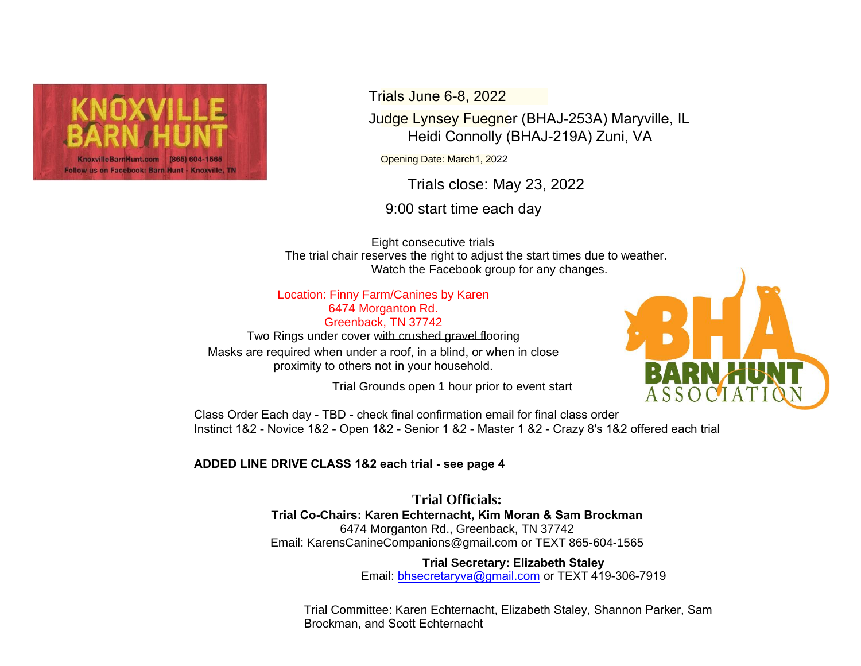

Trials June 6-8, 2022

Judge Lynsey Fuegner (BHAJ-253A) Maryville, IL Heidi Connolly (BHAJ-219A) Zuni, VA

Opening Date: March1, 2022

Trials close: May 23, 2022

9:00 start time each day

Eight consecutive trials The trial chair reserves the right to adjust the start times due to weather. Watch the Facebook group for any changes.

Location: Finny Farm/Canines by Karen 6474 Morganton Rd. Greenback, TN 37742

Two Rings under cover with crushed gravel flooring Masks are required when under a roof, in a blind, or when in close proximity to others not in your household.

Trial Grounds open 1 hour prior to event start



Class Order Each day - TBD - check final confirmation email for final class order Instinct 1&2 - Novice 1&2 - Open 1&2 - Senior 1 &2 - Master 1 &2 - Crazy 8's 1&2 offered each trial

## **ADDED LINE DRIVE CLASS 1&2 each trial - see page 4**

**Trial Officials: Trial Co-Chairs: Karen Echternacht, Kim Moran & Sam Brockman** 6474 Morganton Rd., Greenback, TN 37742 Email: KarensCanineCompanions@gmail.com or TEXT 865-604-1565

> **[Trial Secretary:](http://www.caninesbykaren.com/) [Elizabeth Stal](mailto:arensCanineCompanions@gmail.com)ey** Email: [bhsecretaryva@gmail](mailto:brydon@bluegrassdogsports.com).com or TEXT 419-306-7919

Trial Committee: Karen Echternacht, Elizabeth Staley, Shannon Parker, Sam Brockman, and Scott Echternacht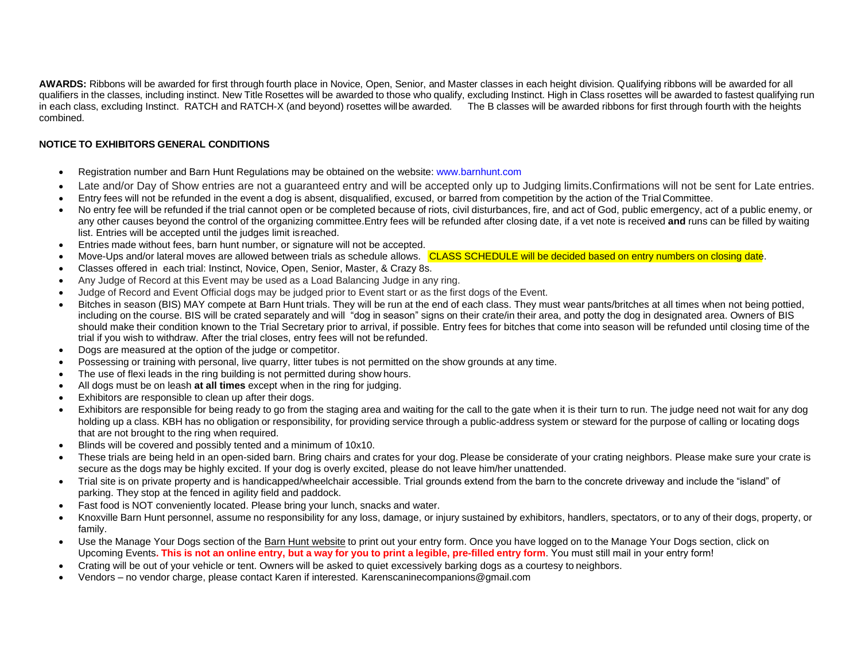**AWARDS:** Ribbons will be awarded for first through fourth place in Novice, Open, Senior, and Master classes in each height division. Qualifying ribbons will be awarded for all qualifiers in the classes, including instinct. New Title Rosettes will be awarded to those who qualify, excluding Instinct. High in Class rosettes will be awarded to fastest qualifying run in each class, excluding Instinct. RATCH and RATCH-X (and beyond) rosettes willbe awarded. The B classes will be awarded ribbons for first through fourth with the heights combined.

### **NOTICE TO EXHIBITORS GENERAL CONDITIONS**

- Registration number and Barn Hunt Regulations may be obtained on the websit[e: www.barnhunt.com](http://www.barnhunt.com/)
- Late and/or Day of Show entries are not a guaranteed entry and will be accepted only up to Judging limits.Confirmations will not be sent for Late entries.
- Entry fees will not be refunded in the event a dog is absent, disqualified, excused, or barred from competition by the action of the Trial Committee.
- No entry fee will be refunded if the trial cannot open or be completed because of riots, civil disturbances, fire, and act of God, public emergency, act of a public enemy, or any other causes beyond the control of the organizing committee.Entry fees will be refunded after closing date, if a vet note is received **and** runs can be filled by waiting list. Entries will be accepted until the judges limit is reached.
- Entries made without fees, barn hunt number, or signature will not be accepted.
- Move-Ups and/or lateral moves are allowed between trials as schedule allows. CLASS SCHEDULE will be decided based on entry numbers on closing date.
- Classes offered in each trial: Instinct, Novice, Open, Senior, Master, & Crazy 8s.
- Any Judge of Record at this Event may be used as a Load Balancing Judge in any ring.
- Judge of Record and Event Official dogs may be judged prior to Event start or as the first dogs of the Event.
- Bitches in season (BIS) MAY compete at Barn Hunt trials. They will be run at the end of each class. They must wear pants/britches at all times when not being pottied, including on the course. BIS will be crated separately and will "dog in season" signs on their crate/in their area, and potty the dog in designated area. Owners of BIS should make their condition known to the Trial Secretary prior to arrival, if possible. Entry fees for bitches that come into season will be refunded until closing time of the trial if you wish to withdraw. After the trial closes, entry fees will not be refunded.
- Dogs are measured at the option of the judge or competitor.
- Possessing or training with personal, live quarry, litter tubes is not permitted on the show grounds at any time.
- The use of flexi leads in the ring building is not permitted during show hours.
- All dogs must be on leash **at all times** except when in the ring for judging.
- Exhibitors are responsible to clean up after their dogs.
- Exhibitors are responsible for being ready to go from the staging area and waiting for the call to the gate when it is their turn to run. The judge need not wait for any dog holding up a class. KBH has no obligation or responsibility, for providing service through a public-address system or steward for the purpose of calling or locating dogs that are not brought to the ring when required.
- Blinds will be covered and possibly tented and a minimum of 10x10.
- These trials are being held in an open-sided barn. Bring chairs and crates for your dog. Please be considerate of your crating neighbors. Please make sure your crate is secure as the dogs may be highly excited. If your dog is overly excited, please do not leave him/her unattended.
- Trial site is on private property and is handicapped/wheelchair accessible. Trial grounds extend from the barn to the concrete driveway and include the "island" of parking. They stop at the fenced in agility field and paddock.
- Fast food is NOT conveniently located. Please bring your lunch, snacks and water.
- Knoxville Barn Hunt personnel, assume no responsibility for any loss, damage, or injury sustained by exhibitors, handlers, spectators, or to any of their dogs, property, or family.
- Use the Manage Your Dogs section of the [Barn Hunt website](https://www.barnhunt.com/) [to](https://www.barnhunt.com/) print out your entry form. Once you have logged on to the Manage Your Dogs section, click on Upcoming Events**. This is not an online entry, but a way for you to print a legible, pre-filled entry form**. You must still mail in your entry form!
- Crating will be out of your vehicle or tent. Owners will be asked to quiet excessively barking dogs as a courtesy to neighbors.
- Vendors no vendor charge, please contact Karen if interested. Karenscaninecompanions@gmail.com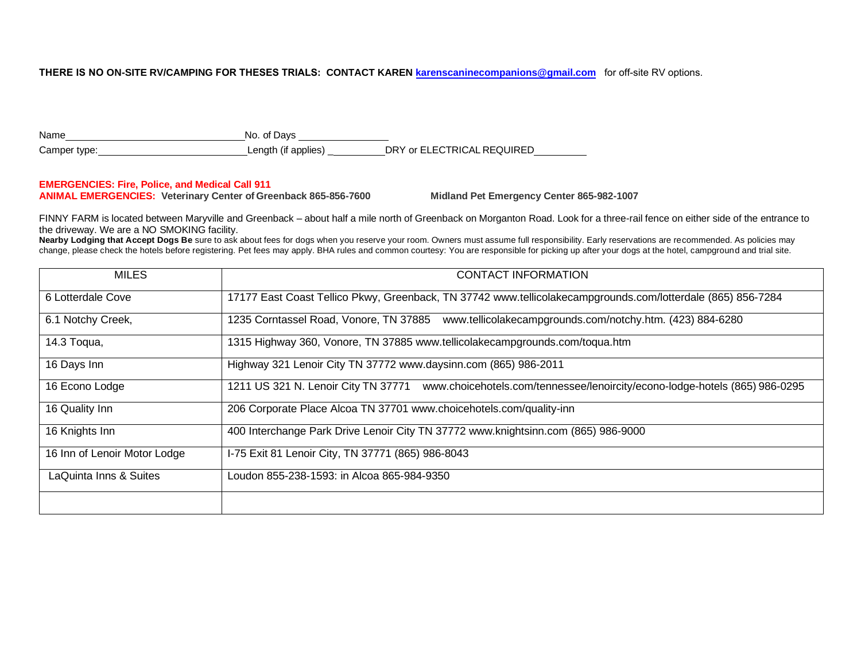### **THERE IS NO ON-SITE RV/CAMPING FOR THESES TRIALS[: CONTACT KAREN k](mailto:karenscaninecompanions@gmail.com)arenscaninecompanions@gmail.com** for off-site RV options.

| Name         | No. of Davs         |                            |
|--------------|---------------------|----------------------------|
| Camper type: | Length (if applies) | DRY or ELECTRICAL REQUIRED |

#### **EMERGENCIES: Fire, Police, and Medical Call 911**

**ANIMAL EMERGENCIES: Veterinary Center of Greenback 865-856-7600 Midland Pet Emergency Center 865-982-1007**

FINNY FARM is located between Maryville and Greenback – about half a mile north of Greenback on Morganton Road. Look for a three-rail fence on either side of the entrance to the driveway. We are a NO SMOKING facility.

**Nearby Lodging that Accept Dogs Be** sure to ask about fees for dogs when you reserve your room. Owners must assume full responsibility. Early reservations are recommended. As policies may change, please check the hotels before registering. Pet fees may apply. BHA rules and common courtesy: You are responsible for picking up after your dogs at the hotel, campground and trial site.

| <b>MILES</b>                 | CONTACT INFORMATION                                                                                                |
|------------------------------|--------------------------------------------------------------------------------------------------------------------|
| 6 Lotterdale Cove            | 17177 East Coast Tellico Pkwy, Greenback, TN 37742 www.tellicolakecampgrounds.com/lotterdale (865) 856-7284        |
| 6.1 Notchy Creek,            | 1235 Corntassel Road, Vonore, TN 37885<br>www.tellicolakecampgrounds.com/notchy.htm. (423) 884-6280                |
| 14.3 Toqua,                  | 1315 Highway 360, Vonore, TN 37885 www.tellicolakecampgrounds.com/toqua.htm                                        |
| 16 Days Inn                  | Highway 321 Lenoir City TN 37772 www.daysinn.com (865) 986-2011                                                    |
| 16 Econo Lodge               | 1211 US 321 N. Lenoir City TN 37771<br>www.choicehotels.com/tennessee/lenoircity/econo-lodge-hotels (865) 986-0295 |
| 16 Quality Inn               | 206 Corporate Place Alcoa TN 37701 www.choicehotels.com/quality-inn                                                |
| 16 Knights Inn               | 400 Interchange Park Drive Lenoir City TN 37772 www.knightsinn.com (865) 986-9000                                  |
| 16 Inn of Lenoir Motor Lodge | I-75 Exit 81 Lenoir City, TN 37771 (865) 986-8043                                                                  |
| LaQuinta Inns & Suites       | Loudon 855-238-1593; in Alcoa 865-984-9350                                                                         |
|                              |                                                                                                                    |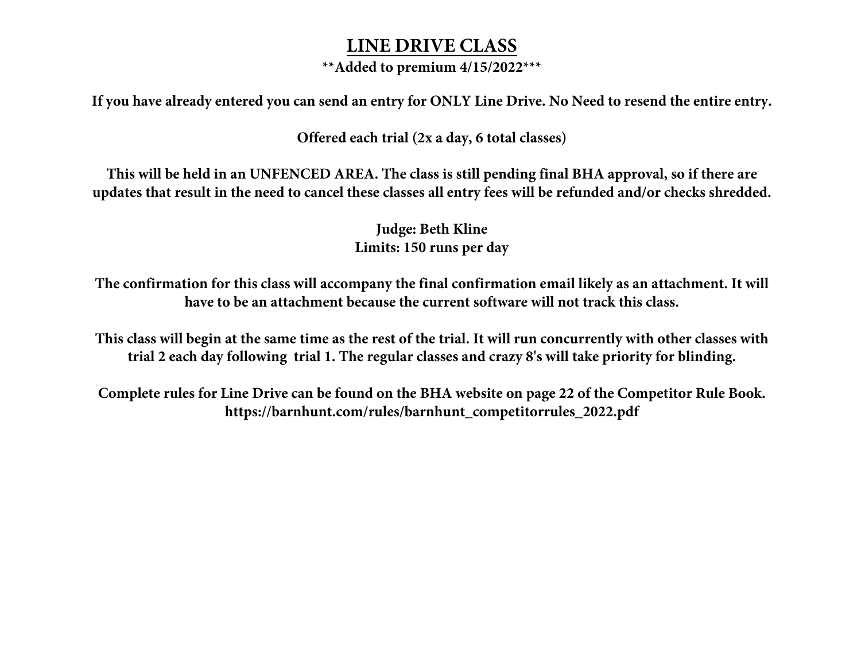# **LINE DRIVE CLASS**

# **\*\*Added to premium 4/15/2022\*\*\***

**If you have already entered you can send an entry for ONLY Line Drive. No Need to resend the entire entry.**

**Offered each trial (2x a day, 6 total classes)**

**This will be held in an UNFENCED AREA. The class is still pending final BHA approval, so if there are updates that result in the need to cancel these classes all entry fees will be refunded and/or checks shredded.** 

> **Judge: Beth Kline Limits: 150 runs per day**

**The confirmation for this class will accompany the final confirmation email likely as an attachment. It will have to be an attachment because the current software will not track this class.**

**This class will begin at the same time as the rest of the trial. It will run concurrently with other classes with trial 2 each day following trial 1. The regular classes and crazy 8's will take priority for blinding.** 

**Complete rules for Line Drive can be found on the BHA website on page 22 of the Competitor Rule Book. https://barnhunt.com/rules/barnhunt\_competitorrules\_2022.pdf**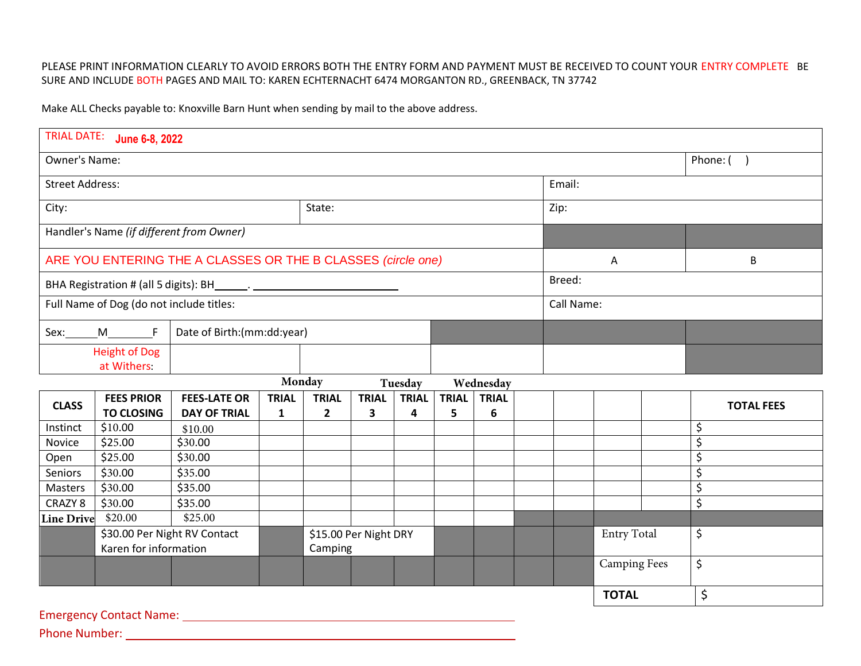### PLEASE PRINT INFORMATION CLEARLY TO AVOID ERRORS BOTH THE ENTRY FORM AND PAYMENT MUST BE RECEIVED TO COUNT YOUR ENTRY COMPLETE BE SURE AND INCLUDE BOTH PAGES AND MAIL TO: KAREN ECHTERNACHT 6474 MORGANTON RD., GREENBACK, TN 37742

Make ALL Checks p[ayable to: Knoxville Barn Hunt when](mailto:brydon@bluegrassdogsports.com) sending by mail to the above address.

|                                                              | TRIAL DATE: June 6-8, 2022             |                                            |                              |                              |                   |                   |                   |                    |    |          |                     |   |                   |
|--------------------------------------------------------------|----------------------------------------|--------------------------------------------|------------------------------|------------------------------|-------------------|-------------------|-------------------|--------------------|----|----------|---------------------|---|-------------------|
| Owner's Name:                                                |                                        |                                            |                              |                              |                   |                   |                   |                    |    | Phone: ( |                     |   |                   |
| <b>Street Address:</b>                                       |                                        |                                            |                              |                              |                   |                   |                   | Email:             |    |          |                     |   |                   |
| City:                                                        |                                        | State:                                     |                              |                              |                   |                   |                   |                    |    | Zip:     |                     |   |                   |
| Handler's Name (if different from Owner)                     |                                        |                                            |                              |                              |                   |                   |                   |                    |    |          |                     |   |                   |
| ARE YOU ENTERING THE A CLASSES OR THE B CLASSES (circle one) |                                        |                                            |                              |                              |                   |                   |                   |                    | A  |          |                     | B |                   |
| BHA Registration # (all 5 digits): BH_______. ______         |                                        |                                            |                              |                              |                   |                   |                   | Breed:             |    |          |                     |   |                   |
| Full Name of Dog (do not include titles:                     |                                        |                                            |                              |                              |                   |                   |                   | Call Name:         |    |          |                     |   |                   |
| Sex:                                                         | M F                                    | Date of Birth:(mm:dd:year)                 |                              |                              |                   |                   |                   |                    |    |          |                     |   |                   |
|                                                              | <b>Height of Dog</b><br>at Withers:    |                                            |                              |                              |                   |                   |                   |                    |    |          |                     |   |                   |
|                                                              |                                        |                                            |                              | Monday                       |                   | Tuesday           |                   | Wednesday          |    |          |                     |   |                   |
| <b>CLASS</b>                                                 | <b>FEES PRIOR</b><br><b>TO CLOSING</b> | <b>FEES-LATE OR</b><br><b>DAY OF TRIAL</b> | <b>TRIAL</b><br>$\mathbf{1}$ | <b>TRIAL</b><br>$\mathbf{2}$ | <b>TRIAL</b><br>3 | <b>TRIAL</b><br>4 | <b>TRIAL</b><br>5 | <b>TRIAL</b><br>6  |    |          |                     |   | <b>TOTAL FEES</b> |
| Instinct                                                     | \$10.00                                | \$10.00                                    |                              |                              |                   |                   |                   |                    |    |          |                     |   | \$                |
| Novice                                                       | \$25.00                                | \$30.00                                    |                              |                              |                   |                   |                   |                    |    |          |                     |   | \$                |
| Open                                                         | \$25.00                                | \$30.00                                    |                              |                              |                   |                   |                   |                    |    |          |                     |   | \$                |
| Seniors                                                      | \$30.00                                | \$35.00                                    |                              |                              |                   |                   |                   |                    |    |          |                     |   | \$                |
| Masters                                                      | \$30.00                                | \$35.00                                    |                              |                              |                   |                   |                   |                    |    |          |                     |   | \$                |
| CRAZY 8                                                      | \$30.00                                | \$35.00                                    |                              |                              |                   |                   |                   |                    |    |          |                     |   | \$                |
| <b>Line Drive</b>                                            | \$20.00                                | \$25.00                                    |                              |                              |                   |                   |                   |                    |    |          |                     |   |                   |
| \$30.00 Per Night RV Contact                                 |                                        |                                            | \$15.00 Per Night DRY        |                              |                   |                   |                   | <b>Entry Total</b> |    | \$       |                     |   |                   |
| Karen for information                                        |                                        |                                            | Camping                      |                              |                   |                   |                   |                    |    |          |                     |   |                   |
|                                                              |                                        |                                            |                              |                              |                   |                   |                   |                    |    |          | <b>Camping Fees</b> |   | \$                |
|                                                              |                                        |                                            |                              |                              |                   |                   | <b>TOTAL</b>      |                    | \$ |          |                     |   |                   |
|                                                              | <b>Emergency Contact Name:</b>         |                                            |                              |                              |                   |                   |                   |                    |    |          |                     |   |                   |

Phone Number: